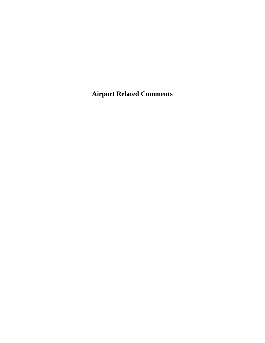**Airport Related Comments**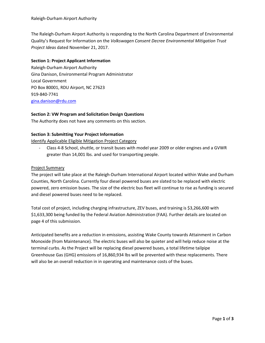The Raleigh-Durham Airport Authority is responding to the North Carolina Department of Environmental Quality's Request for Information on the *Volkswagen Consent Decree Environmental Mitigation Trust Project Ideas* dated November 21, 2017.

#### **Section 1: Project Applicant Information**

Raleigh-Durham Airport Authority Gina Danison, Environmental Program Administrator Local Government PO Box 80001, RDU Airport, NC 27623 919-840-7741 [gina.danison@rdu.com](mailto:gina.danison@rdu.com)

#### **Section 2: VW Program and Solicitation Design Questions**

The Authority does not have any comments on this section.

#### **Section 3: Submitting Your Project Information**

Identify Applicable Eligible Mitigation Project Category

- Class 4-8 School, shuttle, or transit buses with model year 2009 or older engines and a GVWR greater than 14,001 lbs. and used for transporting people.

#### Project Summary

The project will take place at the Raleigh-Durham International Airport located within Wake and Durham Counties, North Carolina. Currently four diesel powered buses are slated to be replaced with electric powered, zero emission buses. The size of the electric bus fleet will continue to rise as funding is secured and diesel powered buses need to be replaced.

Total cost of project, including charging infrastructure, ZEV buses, and training is \$3,266,600 with \$1,633,300 being funded by the Federal Aviation Administration (FAA). Further details are located on page 4 of this submission.

Anticipated benefits are a reduction in emissions, assisting Wake County towards Attainment in Carbon Monoxide (from Maintenance). The electric buses will also be quieter and will help reduce noise at the terminal curbs. As the Project will be replacing diesel powered buses, a total lifetime tailpipe Greenhouse Gas (GHG) emissions of 16,860,934 lbs will be prevented with these replacements. There will also be an overall reduction in in operating and maintenance costs of the buses.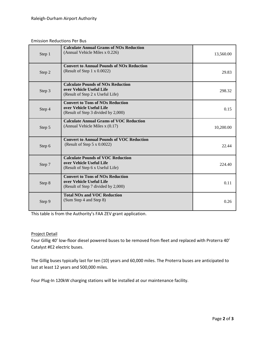#### Emission Reductions Per Bus

| Step 1 | <b>Calculate Annual Grams of NOx Reduction</b><br>(Annual Vehicle Miles x 0.226)                           | 13,560.00 |
|--------|------------------------------------------------------------------------------------------------------------|-----------|
| Step 2 | <b>Convert to Annual Pounds of NOx Reduction</b><br>(Result of Step $1 \times 0.0022$ )                    | 29.83     |
| Step 3 | <b>Calculate Pounds of NOx Reduction</b><br>over Vehicle Useful Life<br>(Result of Step 2 x Useful Life)   | 298.32    |
| Step 4 | <b>Convert to Tons of NOx Reduction</b><br>over Vehicle Useful Life<br>(Result of Step 3 divided by 2,000) | 0.15      |
| Step 5 | <b>Calculate Annual Grams of VOC Reduction</b><br>(Annual Vehicle Miles x (0.17)                           | 10,200.00 |
| Step 6 | <b>Convert to Annual Pounds of VOC Reduction</b><br>(Result of Step $5 \times 0.0022$ )                    | 22.44     |
| Step 7 | <b>Calculate Pounds of VOC Reduction</b><br>over Vehicle Useful Life<br>(Result of Step 6 x Useful Life)   | 224.40    |
| Step 8 | <b>Convert to Tons of NOx Reduction</b><br>over Vehicle Useful Life<br>(Result of Step 7 divided by 2,000) | 0.11      |
| Step 9 | <b>Total NOx and VOC Reduction</b><br>(Sum Step 4 and Step 8)                                              | 0.26      |

This table is from the Authority's FAA ZEV grant application.

#### Project Detail

Four Gillig 40' low-floor diesel powered buses to be removed from fleet and replaced with Proterra 40' Catalyst #E2 electric buses.

The Gillig buses typically last for ten (10) years and 60,000 miles. The Proterra buses are anticipated to last at least 12 years and 500,000 miles.

Four Plug-In 120kW charging stations will be installed at our maintenance facility.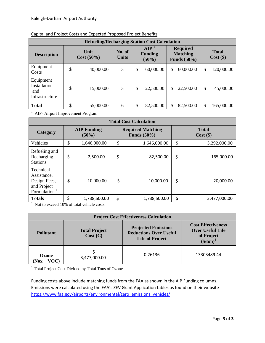| <b>Refueling/Recharging Station Cost Calculation</b> |         |                       |                        |    |                                                                                                  |    |                             |    |            |  |
|------------------------------------------------------|---------|-----------------------|------------------------|----|--------------------------------------------------------------------------------------------------|----|-----------------------------|----|------------|--|
| <b>Description</b>                                   |         | Unit<br>$Cost (50\%)$ | No. of<br><b>Units</b> |    | <b>AIP</b><br><b>Required</b><br><b>Matching</b><br><b>Funding</b><br>Funds $(50\%)$<br>$(50\%)$ |    | <b>Total</b><br>$Cost$ (\$) |    |            |  |
| Equipment<br>Costs                                   | Φ<br>J  | 40,000.00             | 3                      | \$ | 60,000.00                                                                                        | \$ | 60,000.00                   | \$ | 120,000.00 |  |
| Equipment<br>Installation<br>and<br>Infrastructure   | Φ<br>J  | 15,000.00             | 3                      | \$ | 22,500.00                                                                                        | \$ | 22,500.00                   | \$ | 45,000.00  |  |
| <b>Total</b>                                         | Φ<br>JЭ | 55,000.00             | 6                      | \$ | 82,500.00                                                                                        | \$ | 82,500.00                   | \$ | 165,000.00 |  |

#### Capital and Project Costs and Expected Proposed Project Benefits

<sup>1</sup> AIP- Airport Improvement Program

| <b>Total Cost Calculation</b>                                              |                                |              |    |                                            |                             |              |  |  |
|----------------------------------------------------------------------------|--------------------------------|--------------|----|--------------------------------------------|-----------------------------|--------------|--|--|
| Category                                                                   | <b>AIP Funding</b><br>$(50\%)$ |              |    | <b>Required Matching</b><br>Funds $(50\%)$ | <b>Total</b><br>$Cost($ \$) |              |  |  |
| Vehicles                                                                   | \$                             | 1,646,000.00 | \$ | 1,646,000.00                               | \$                          | 3,292,000.00 |  |  |
| Refueling and<br>Recharging<br><b>Stations</b>                             | \$                             | 2,500.00     | \$ | 82,500.00                                  | \$                          | 165,000.00   |  |  |
| Technical<br>Assistance,<br>Design Fees,<br>and Project<br>Formulation $1$ | \$                             | 10,000.00    | \$ | 10,000.00                                  | \$                          | 20,000.00    |  |  |
| <b>Totals</b>                                                              | \$                             | 1,738,500.00 | \$ | 1,738,500.00                               | \$                          | 3,477,000.00 |  |  |

<sup>1</sup> Not to exceed 10% of total vehicle costs

| <b>Project Cost Effectiveness Calculation</b> |                                  |                                                                                       |                                                                                   |  |  |  |
|-----------------------------------------------|----------------------------------|---------------------------------------------------------------------------------------|-----------------------------------------------------------------------------------|--|--|--|
| <b>Pollutant</b>                              | <b>Total Project</b><br>Cost (C) | <b>Projected Emissions</b><br><b>Reductions Over Useful</b><br><b>Life of Project</b> | <b>Cost Effectiveness</b><br><b>Over Useful Life</b><br>of Project<br>$($/ton)^1$ |  |  |  |
| Ozone<br>$(Nox + VOC)$                        | 3,477,000.00                     | 0.26136                                                                               | 13303489.44                                                                       |  |  |  |

<sup>1</sup> Total Project Cost Divided by Total Tons of Ozone

Funding costs above include matching funds from the FAA as shown in the AIP Funding columns. Emissions were calculated using the FAA's ZEV Grant Application tables as found on their website [https://www.faa.gov/airports/environmental/zero\\_emissions\\_vehicles/](https://www.faa.gov/airports/environmental/zero_emissions_vehicles/)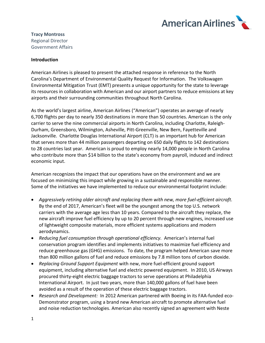

# **Tracy Montross** Regional Director Government Affairs

#### **Introduction**

American Airlines is pleased to present the attached response in reference to the North Carolina's Department of Environmental Quality Request for Information. The Volkswagen Environmental Mitigation Trust (EMT) presents a unique opportunity for the state to leverage its resources in collaboration with American and our airport partners to reduce emissions at key airports and their surrounding communities throughout North Carolina.

As the world's largest airline, American Airlines ("American") operates an average of nearly 6,700 flights per day to nearly 350 destinations in more than 50 countries. American is the only carrier to serve the nine commercial airports in North Carolina, including Charlotte, Raleigh-Durham, Greensboro, Wilmington, Asheville, Pitt-Greenville, New Bern, Fayetteville and Jacksonville. Charlotte Douglas International Airport (CLT) is an important hub for American that serves more than 44 million passengers departing on 650 daily flights to 142 destinations to 28 countries last year. American is proud to employ nearly 14,000 people in North Carolina who contribute more than \$14 billion to the state's economy from payroll, induced and indirect economic input.

American recognizes the impact that our operations have on the environment and we are focused on minimizing this impact while growing in a sustainable and responsible manner. Some of the initiatives we have implemented to reduce our environmental footprint include:

- *Aggressively retiring older aircraft and replacing them with new, more fuel-efficient aircraft.* By the end of 2017, American's fleet will be the youngest among the top U.S. network carriers with the average age less than 10 years. Compared to the aircraft they replace, the new aircraft improve fuel efficiency by up to 20 percent through new engines, increased use of lightweight composite materials, more efficient systems applications and modern aerodynamics.
- *Reducing fuel consumption through operational efficiency.* American's internal fuel conservation program identifies and implements initiatives to maximize fuel efficiency and reduce greenhouse gas (GHG) emissions. To date, the program helped American save more than 800 million gallons of fuel and reduce emissions by 7.8 million tons of carbon dioxide.
- *Replacing Ground Support Equipment* with new, more fuel-efficient ground support equipment, including alternative fuel and electric powered equipment. In 2010, US Airways procured thirty-eight electric baggage tractors to serve operations at Philadelphia International Airport. In just two years, more than 140,000 gallons of fuel have been avoided as a result of the operation of these electric baggage tractors.
- *Research and Development:* In 2012 American partnered with Boeing in its FAA-funded eco-Demonstrator program, using a brand new American aircraft to promote alternative fuel and noise reduction technologies. American also recently signed an agreement with Neste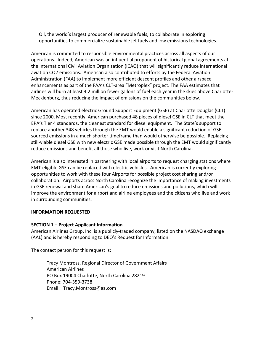Oil, the world's largest producer of renewable fuels, to collaborate in exploring opportunities to commercialize sustainable jet fuels and low emissions technologies.

American is committed to responsible environmental practices across all aspects of our operations. Indeed, American was an influential proponent of historical global agreements at the International Civil Aviation Organization (ICAO) that will significantly reduce international aviation CO2 emissions. American also contributed to efforts by the Federal Aviation Administration (FAA) to implement more efficient descent profiles and other airspace enhancements as part of the FAA's CLT-area "Metroplex" project. The FAA estimates that airlines will burn at least 4.2 million fewer gallons of fuel each year in the skies above Charlotte-Mecklenburg, thus reducing the impact of emissions on the communities below.

American has operated electric Ground Support Equipment (GSE) at Charlotte Douglas (CLT) since 2000. Most recently, American purchased 48 pieces of diesel GSE in CLT that meet the EPA's Tier 4 standards, the cleanest standard for diesel equipment. The State's support to replace another 348 vehicles through the EMT would enable a significant reduction of GSEsourced emissions in a much shorter timeframe than would otherwise be possible. Replacing still-viable diesel GSE with new electric GSE made possible through the EMT would significantly reduce emissions and benefit all those who live, work or visit North Carolina.

American is also interested in partnering with local airports to request charging stations where EMT-eligible GSE can be replaced with electric vehicles. American is currently exploring opportunities to work with these four Airports for possible project cost sharing and/or collaboration. Airports across North Carolina recognize the importance of making investments in GSE renewal and share American's goal to reduce emissions and pollutions, which will improve the environment for airport and airline employees and the citizens who live and work in surrounding communities.

#### **INFORMATION REQUESTED**

#### **SECTION 1 – Project Applicant Information**

American Airlines Group, Inc. is a publicly-traded company, listed on the NASDAQ exchange (AAL) and is hereby responding to DEQ's Request for Information.

The contact person for this request is:

Tracy Montross, Regional Director of Government Affairs American Airlines PO Box 19004 Charlotte, North Carolina 28219 Phone: 704-359-3738 Email: Tracy.Montross@aa.com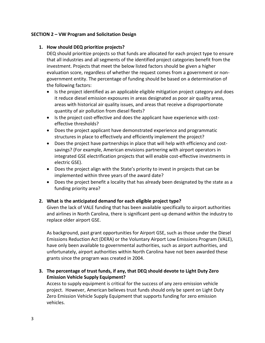## **SECTION 2 – VW Program and Solicitation Design**

## **1. How should DEQ prioritize projects?**

DEQ should prioritize projects so that funds are allocated for each project type to ensure that all industries and all segments of the identified project categories benefit from the investment. Projects that meet the below listed factors should be given a higher evaluation score, regardless of whether the request comes from a government or nongovernment entity. The percentage of funding should be based on a determination of the following factors:

- Is the project identified as an applicable eligible mitigation project category and does it reduce diesel emission exposures in areas designated as poor air quality areas, areas with historical air quality issues, and areas that receive a disproportionate quantity of air pollution from diesel fleets?
- Is the project cost-effective and does the applicant have experience with costeffective thresholds?
- Does the project applicant have demonstrated experience and programmatic structures in place to effectively and efficiently implement the project?
- Does the project have partnerships in place that will help with efficiency and costsavings? (For example, American envisions partnering with airport operators in integrated GSE electrification projects that will enable cost-effective investments in electric GSE).
- Does the project align with the State's priority to invest in projects that can be implemented within three years of the award date?
- Does the project benefit a locality that has already been designated by the state as a funding priority area?

# **2. What is the anticipated demand for each eligible project type?**

Given the lack of VALE funding that has been available specifically to airport authorities and airlines in North Carolina, there is significant pent-up demand within the industry to replace older airport GSE.

As background, past grant opportunities for Airport GSE, such as those under the Diesel Emissions Reduction Act (DERA) or the Voluntary Airport Low Emissions Program (VALE), have only been available to governmental authorities, such as airport authorities, and unfortunately, airport authorities within North Carolina have not been awarded these grants since the program was created in 2004.

**3. The percentage of trust funds, if any, that DEQ should devote to Light Duty Zero Emission Vehicle Supply Equipment?**

Access to supply equipment is critical for the success of any zero emission vehicle project. However, American believes trust funds should only be spent on Light Duty Zero Emission Vehicle Supply Equipment that supports funding for zero emission vehicles.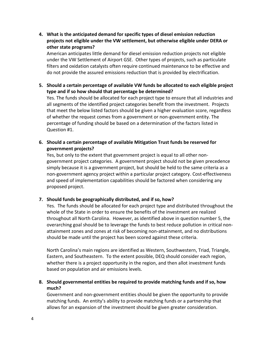**4. What is the anticipated demand for specific types of diesel emission reduction projects not eligible under the VW settlement, but otherwise eligible under DERA or other state programs?**

American anticipates little demand for diesel emission reduction projects not eligible under the VW Settlement of Airport GSE. Other types of projects, such as particulate filters and oxidation catalysts often require continued maintenance to be effective and do not provide the assured emissions reduction that is provided by electrification.

**5. Should a certain percentage of available VW funds be allocated to each eligible project type and if so how should that percentage be determined?**

Yes. The funds should be allocated for each project type to ensure that all industries and all segments of the identified project categories benefit from the investment. Projects that meet the below listed factors should be given a higher evaluation score, regardless of whether the request comes from a government or non-government entity. The percentage of funding should be based on a determination of the factors listed in Question #1.

**6. Should a certain percentage of available Mitigation Trust funds be reserved for government projects?**

Yes, but only to the extent that government project is equal to all other nongovernment project categories. A government project should not be given precedence simply because it is a government project, but should be held to the same criteria as a non-government agency project within a particular project category. Cost-effectiveness and speed of implementation capabilities should be factored when considering any proposed project.

# **7. Should funds be geographically distributed, and if so, how?**

Yes. The funds should be allocated for each project type and distributed throughout the whole of the State in order to ensure the benefits of the investment are realized throughout all North Carolina. However, as identified above in question number 5, the overarching goal should be to leverage the funds to best reduce pollution in critical nonattainment zones and zones at risk of becoming non-attainment, and no distributions should be made until the project has been scored against these criteria.

North Carolina's main regions are identified as Western, Southwestern, Triad, Triangle, Eastern, and Southeastern. To the extent possible, DEQ should consider each region, whether there is a project opportunity in the region, and then allot investment funds based on population and air emissions levels.

**8. Should governmental entities be required to provide matching funds and if so, how much?**

Government and non-government entities should be given the opportunity to provide matching funds. An entity's ability to provide matching funds or a partnership that allows for an expansion of the investment should be given greater consideration.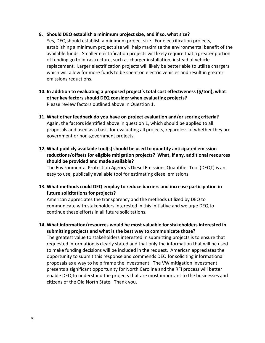#### **9. Should DEQ establish a minimum project size, and if so, what size?**

Yes, DEQ should establish a minimum project size. For electrification projects, establishing a minimum project size will help maximize the environmental benefit of the available funds. Smaller electrification projects will likely require that a greater portion of funding go to infrastructure, such as charger installation, instead of vehicle replacement. Larger electrification projects will likely be better able to utilize chargers which will allow for more funds to be spent on electric vehicles and result in greater emissions reductions.

- **10. In addition to evaluating a proposed project's total cost effectiveness (\$/ton), what other key factors should DEQ consider when evaluating projects?** Please review factors outlined above in Question 1.
- **11. What other feedback do you have on project evaluation and/or scoring criteria?** Again, the factors identified above in question 1, which should be applied to all proposals and used as a basis for evaluating all projects, regardless of whether they are government or non-government projects.
- **12. What publicly available tool(s) should be used to quantify anticipated emission reductions/offsets for eligible mitigation projects? What, if any, additional resources should be provided and made available?**

The Environmental Protection Agency's Diesel Emissions Quantifier Tool (DEQT) is an easy to use, publically available tool for estimating diesel emissions.

**13. What methods could DEQ employ to reduce barriers and increase participation in future solicitations for projects?**

American appreciates the transparency and the methods utilized by DEQ to communicate with stakeholders interested in this initiative and we urge DEQ to continue these efforts in all future solicitations.

**14. What information/resources would be most valuable for stakeholders interested in submitting projects and what is the best way to communicate those?**

The greatest value to stakeholders interested in submitting projects is to ensure that requested information is clearly stated and that only the information that will be used to make funding decisions will be included in the request. American appreciates the opportunity to submit this response and commends DEQ for soliciting informational proposals as a way to help frame the investment. The VW mitigation investment presents a significant opportunity for North Carolina and the RFI process will better enable DEQ to understand the projects that are most important to the businesses and citizens of the Old North State. Thank you.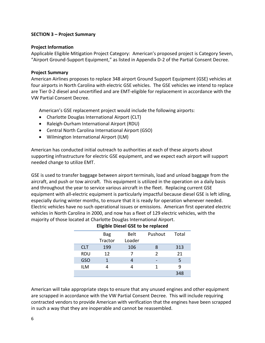## **SECTION 3 – Project Summary**

## **Project Information**

Applicable Eligible Mitigation Project Category: American's proposed project is Category Seven, "Airport Ground-Support Equipment," as listed in Appendix D-2 of the Partial Consent Decree.

## **Project Summary**

American Airlines proposes to replace 348 airport Ground Support Equipment (GSE) vehicles at four airports in North Carolina with electric GSE vehicles. The GSE vehicles we intend to replace are Tier 0-2 diesel and uncertified and are EMT-eligible for replacement in accordance with the VW Partial Consent Decree.

American's GSE replacement project would include the following airports:

- Charlotte Douglas International Airport (CLT)
- Raleigh-Durham International Airport (RDU)
- Central North Carolina International Airport (GSO)
- Wilmington International Airport (ILM)

American has conducted initial outreach to authorities at each of these airports about supporting infrastructure for electric GSE equipment, and we expect each airport will support needed change to utilize EMT.

GSE is used to transfer baggage between airport terminals, load and unload baggage from the aircraft, and push or tow aircraft. This equipment is utilized in the operation on a daily basis and throughout the year to service various aircraft in the fleet. Replacing current GSE equipment with all-electric equipment is particularly impactful because diesel GSE is left idling, especially during winter months, to ensure that it is ready for operation whenever needed. Electric vehicles have no such operational issues or emissions. American first operated electric vehicles in North Carolina in 2000, and now has a fleet of 129 electric vehicles, with the majority of those located at Charlotte Douglas International Airport.

|            | ------     |        |               |       |
|------------|------------|--------|---------------|-------|
|            | <b>Bag</b> | Belt   | Pushout       | Total |
|            | Tractor    | Loader |               |       |
| <b>CLT</b> | 199        | 106    |               | 313   |
| <b>RDU</b> | 12         |        | $\mathcal{P}$ | 21    |
| GSO        |            |        |               | 5     |
| <b>ILM</b> |            |        |               | q     |
|            |            |        |               | 348   |

# **Eligible Diesel GSE to be replaced**

American will take appropriate steps to ensure that any unused engines and other equipment are scrapped in accordance with the VW Partial Consent Decree. This will include requiring contracted vendors to provide American with verification that the engines have been scrapped in such a way that they are inoperable and cannot be reassembled.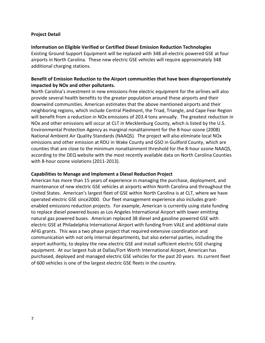#### **Project Detail**

## **Information on Eligible Verified or Certified Diesel Emission Reduction Technologies**

Existing Ground Support Equipment will be replaced with 348 all-electric powered GSE at four airports in North Carolina. These new electric GSE vehicles will require approximately 348 additional charging stations.

# **Benefit of Emission Reduction to the Airport communities that have been disproportionately impacted by NOx and other pollutants.**

North Carolina's investment in new emissions-free electric equipment for the airlines will also provide several health benefits to the greater population around these airports and their downwind communities. American estimates that the above mentioned airports and their neighboring regions, which include Central Piedmont, the Triad, Triangle, and Cape Fear Region will benefit from a reduction in NOx emissions of 203.4 tons annually. The greatest reduction in NOx and other emissions will occur at CLT in Mecklenburg County, which is listed by the U.S. Environmental Protection Agency as marginal nonattainment for the 8-hour ozone (2008) National Ambient Air Quality Standards (NAAQS). The project will also eliminate local NOx emissions and other emission at RDU in Wake County and GSO in Guilford County, which are counties that are close to the minimum nonattainment threshold for the 8-hour ozone NAAQS, according to the DEQ website with the most recently available data on North Carolina Counties with 8-hour ozone violations (2011-2013).

## **Capabilities to Manage and Implement a Diesel Reduction Project**

American has more than 15 years of experience in managing the purchase, deployment, and maintenance of new electric GSE vehicles at airports within North Carolina and throughout the United States. American's largest fleet of GSE within North Carolina is at CLT, where we have operated electric GSE since2000. Our fleet management experience also includes grantenabled emissions reduction projects. For example, American is currently using state funding to replace diesel powered buses as Los Angeles International Airport with lower emitting natural gas powered buses. American replaced 38 diesel and gasoline powered GSE with electric GSE at Philadelphia International Airport with funding from VALE and additional state AFIG grants. This was a two phase project that required extensive coordination and communication with not only internal departments, but also external parties, including the airport authority, to deploy the new electric GSE and install sufficient electric GSE charging equipment. At our largest hub at Dallas/Fort Worth International Airport, American has purchased, deployed and managed electric GSE vehicles for the past 20 years. Its current fleet of 600 vehicles is one of the largest electric GSE fleets in the country.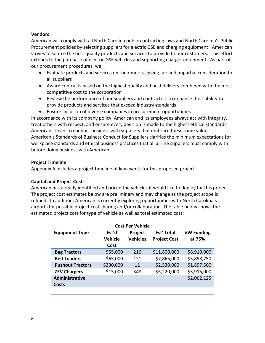## **Vendors**

American will comply with all North Carolina public contracting laws and North Carolina's Public Procurement policies by selecting suppliers for electric GSE and charging equipment. American strives to source the best quality products and services to provide to our customers. This effort extends to the purchase of electric GSE vehicles and supporting charger equipment. As part of our procurement procedures, we:

- Evaluate products and services on their merits, giving fair and impartial consideration to all suppliers
- Award contracts based on the highest quality and best delivery combined with the most competitive cost to the corporation
- Review the performance of our suppliers and contractors to enhance their ability to provide products and services that exceed industry standards
- Ensure inclusion of diverse companies in procurement opportunities

In accordance with its company policy, American and its employees always act with integrity, treat others with respect, and ensure every decision is made to the highest ethical standards. American strives to conduct business with suppliers that embrace these same values. American's Standards of Business Conduct for Suppliers clarifies the minimum expectations for workplace standards and ethical business practices that all airline suppliers must comply with before doing business with American.

# **Project Timeline**

Appendix A includes a project timeline of key events for this proposed project.

# **Capital and Project Costs**

American has already identified and priced the vehicles it would like to deploy for this project. The project cost estimates below are preliminary and may change as the project scope is refined. In addition, American is currently exploring opportunities with North Carolina's airports for possible project cost sharing and/or collaboration. The table below shows the estimated project cost for type of vehicle as well as total estimated cost:

| <b>Cost Per Vehicle</b> |                |                 |                     |                   |  |  |  |  |  |
|-------------------------|----------------|-----------------|---------------------|-------------------|--|--|--|--|--|
| <b>Equipment Type</b>   | Est'd          | Project         | <b>Est' Total</b>   | <b>VW Funding</b> |  |  |  |  |  |
|                         | <b>Vehicle</b> | <b>Vehicles</b> | <b>Project Cost</b> | at 75%            |  |  |  |  |  |
| Cost                    |                |                 |                     |                   |  |  |  |  |  |
| <b>Bag Tractors</b>     | \$55,000       | 216             | \$11,800,000        | \$8,910,000       |  |  |  |  |  |
| <b>Belt Loaders</b>     | \$65,000       | 121             | \$7,865,000         | \$5,898,750       |  |  |  |  |  |
| <b>Pushout Tractors</b> | \$230,000      | 11              | \$2,530,000         | \$1,897,500       |  |  |  |  |  |
| <b>ZEV Chargers</b>     | \$15,000       | 348             | \$5,220,000         | \$3,915,000       |  |  |  |  |  |
| <b>Administrative</b>   |                |                 |                     | \$2,062,125       |  |  |  |  |  |
| <b>Costs</b>            |                |                 |                     |                   |  |  |  |  |  |
|                         |                |                 |                     |                   |  |  |  |  |  |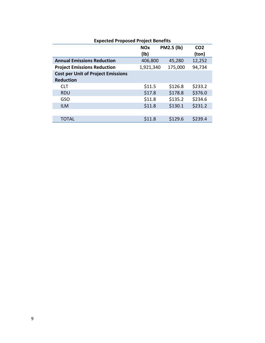| EXPECTED TOPOSED TOJECT DETICITS          |                    |                   |                          |  |  |  |  |
|-------------------------------------------|--------------------|-------------------|--------------------------|--|--|--|--|
|                                           | <b>NOx</b><br>(Ib) | <b>PM2.5 (lb)</b> | CO <sub>2</sub><br>(ton) |  |  |  |  |
| <b>Annual Emissions Reduction</b>         | 406,800            | 45,280            | 12,252                   |  |  |  |  |
| <b>Project Emissions Reduction</b>        | 1,921,340          | 175,000           | 94,734                   |  |  |  |  |
| <b>Cost per Unit of Project Emissions</b> |                    |                   |                          |  |  |  |  |
| <b>Reduction</b>                          |                    |                   |                          |  |  |  |  |
| <b>CLT</b>                                | \$11.5             | \$126.8           | \$233.2                  |  |  |  |  |
| <b>RDU</b>                                | \$17.8             | \$178.8           | \$376.0                  |  |  |  |  |
| <b>GSO</b>                                | \$11.8             | \$135.2           | \$234.6                  |  |  |  |  |
| <b>ILM</b>                                | \$11.8             | \$130.1           | \$231.2                  |  |  |  |  |
|                                           |                    |                   |                          |  |  |  |  |
| <b>TOTAL</b>                              | \$11.8             | \$129.6           | \$239.4                  |  |  |  |  |

## **Expected Proposed Project Benefits**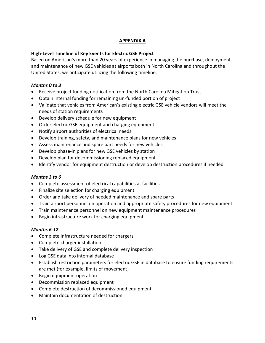# **APPENDIX A**

# **High-Level Timeline of Key Events for Electric GSE Project**

Based on American's more than 20 years of experience in managing the purchase, deployment and maintenance of new GSE vehicles at airports both in North Carolina and throughout the United States, we anticipate utilizing the following timeline.

# *Months 0 to 3*

- Receive project funding notification from the North Carolina Mitigation Trust
- Obtain internal funding for remaining un-funded portion of project
- Validate that vehicles from American's existing electric GSE vehicle vendors will meet the needs of station requirements
- Develop delivery schedule for new equipment
- Order electric GSE equipment and charging equipment
- Notify airport authorities of electrical needs
- Develop training, safety, and maintenance plans for new vehicles
- Assess maintenance and spare part needs for new vehicles
- Develop phase-in plans for new GSE vehicles by station
- Develop plan for decommissioning replaced equipment
- Identify vendor for equipment destruction or develop destruction procedures if needed

# *Months 3 to 6*

- Complete assessment of electrical capabilities at facilities
- Finalize site selection for charging equipment
- Order and take delivery of needed maintenance and spare parts
- Train airport personnel on operation and appropriate safety procedures for new equipment
- Train maintenance personnel on new equipment maintenance procedures
- Begin infrastructure work for charging equipment

# *Months 6-12*

- Complete infrastructure needed for chargers
- Complete charger installation
- Take delivery of GSE and complete delivery inspection
- Log GSE data into internal database
- Establish restriction parameters for electric GSE in database to ensure funding requirements are met (for example, limits of movement)
- Begin equipment operation
- Decommission replaced equipment
- Complete destruction of decommissioned equipment
- Maintain documentation of destruction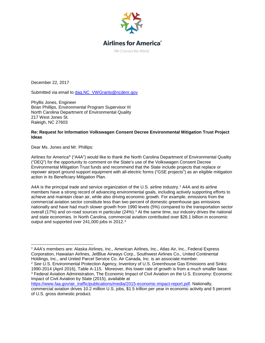

# **Airlines for America**<sup>®</sup>

We Connect the World

December 22, 2017

Submitted via email to dag.NC\_VWGrants@ncdenr.gov

Phyllis Jones, Engineer Brian Phillips, Environmental Program Supervisor III North Carolina Department of Environmental Quality 217 West Jones St. Raleigh, NC 27603

#### **Re: Request for Information Volkswagen Consent Decree Environmental Mitigation Trust Project Ideas**

Dear Ms. Jones and Mr. Phillips:

Airlines for America® ("A4A") would like to thank the North Carolina Department of Environmental Quality ("DEQ") for the opportunity to comment on the State's use of the Volkswagen Consent Decree Environmental Mitigation Trust funds and recommend that the State include projects that replace or repower airport ground support equipment with all-electric forms ("GSE projects") as an eligible mitigation action in its Beneficiary Mitigation Plan.

A4A is the principal trade and service organization of the U.S. airline industry.<sup>[1](#page-14-0)</sup> A4A and its airline members have a strong record of advancing environmental goals, including actively supporting efforts to achieve and maintain clean air, while also driving economic growth. For example, emissions from the commercial aviation sector constitute less than two percent of domestic greenhouse gas emissions nationally and have had much slower growth from 1990 levels (5%) compared to the transportation sector overall (17%) and on-road sources in particular ([2](#page-14-1)4%).<sup>2</sup> At the same time, our industry drives the national and state economies. In North Carolina, commercial aviation contributed over \$26.1 billion in economic output and supported over 241,000 jobs in 2012.<sup>[3](#page-14-2)</sup>

<span id="page-14-1"></span><sup>2</sup> *See* U.S. Environmental Protection Agency, Inventory of U.S. Greenhouse Gas Emissions and Sinks: 1990-2014 (April 2016), Table A-115. Moreover, this lower rate of growth is from a much smaller base. <sup>3</sup> Federal Aviation Administration, The Economic Impact of Civil Aviation on the U.S. Economy: Economic

<span id="page-14-2"></span>Impact of Civil Aviation by State (2015), available at [https://www.faa.gov/air\\_traffic/publications/media/2015-economic-impact-report.pdf.](https://www.faa.gov/air_traffic/publications/media/2015-economic-impact-report.pdf) Nationally, commercial aviation drives 10.2 million U.S. jobs, \$1.5 trillion per year in economic activity and 5 percent of U.S. gross domestic product.

<span id="page-14-0"></span> <sup>1</sup> A4A's members are: Alaska Airlines, Inc., American Airlines, Inc., Atlas Air, Inc., Federal Express Corporation, Hawaiian Airlines, JetBlue Airways Corp., Southwest Airlines Co., United Continental Holdings, Inc., and United Parcel Service Co. Air Canada, Inc. is an associate member.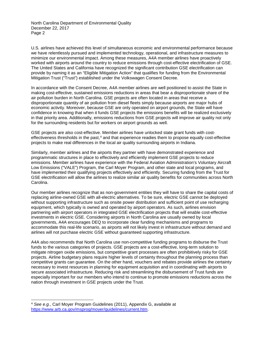North Carolina Department of Environmental Quality December 22, 2017 Page 2

U.S. airlines have achieved this level of simultaneous economic and environmental performance because we have relentlessly pursued and implemented technology, operational, and infrastructure measures to minimize our environmental impact. Among these measures, A4A member airlines have proactively worked with airports around the country to reduce emissions through cost-effective electrification of GSE. The United States and California have recognized the significant contribution GSE electrification can provide by naming it as an "Eligible Mitigation Action" that qualifies for funding from the Environmental Mitigation Trust ("Trust") established under the Volkswagen Consent Decree.

In accordance with the Consent Decree, A4A member airlines are well positioned to assist the State in making cost-effective, sustained emissions reductions in areas that bear a disproportionate share of the air pollution burden in North Carolina. GSE projects are often located in areas that receive a disproportionate quantity of air pollution from diesel fleets simply because airports are major hubs of economic activity. Moreover, because GSE are only operated on airport grounds, the State will have confidence in knowing that when it funds GSE projects the emissions benefits will be realized exclusively in that priority area. Additionally, emissions reductions from GSE projects will improve air quality not only for the surrounding residents but for workers on airport grounds as well.

GSE projects are also cost-effective. Member airlines have unlocked state grant funds with cost-effectiveness thresholds in the past,<sup>[4](#page-15-0)</sup> and that experience readies them to propose equally cost-effective projects to make real differences in the local air quality surrounding airports in Indiana.

Similarly, member airlines and the airports they partner with have demonstrated experience and programmatic structures in place to effectively and efficiently implement GSE projects to reduce emissions. Member airlines have experience with the Federal Aviation Administration's Voluntary Aircraft Low Emissions ("VALE") Program, the Carl Moyer Program, and other state and local programs, and have implemented their qualifying projects effectively and efficiently. Securing funding from the Trust for GSE electrification will allow the airlines to realize similar air quality benefits for communities across North Carolina.

Our member airlines recognize that as non-government entities they will have to share the capital costs of replacing airline-owned GSE with all-electric alternatives. To be sure, electric GSE cannot be deployed without supporting infrastructure such as onsite power distribution and sufficient point of use recharging equipment, which typically is owned and operated by airport operators. As such, airlines envision partnering with airport operators in integrated GSE electrification projects that will enable cost-effective investments in electric GSE. Considering airports in North Carolina are usually owned by local governments, A4A encourages DEQ to incorporate clear funding mechanisms and programs to accommodate this real-life scenario, as airports will not likely invest in infrastructure without demand and airlines will not purchase electric GSE without guaranteed supporting infrastructure.

A4A also recommends that North Carolina use non-competitive funding programs to disburse the Trust funds to the various categories of projects. GSE projects are a cost-effective, long-term solution to mitigate nitrogen oxide emissions, but competitive grant processes are often prohibitively risky for GSE projects. Airline budgetary plans require higher levels of certainty throughout the planning process than competitive grants can guarantee. On the other hand, vouchers and rebates provide airlines the certainty necessary to invest resources in planning for equipment acquisition and in coordinating with airports to secure associated infrastructure. Reducing risk and streamlining the disbursement of Trust funds are especially important for our members who intend to continue to promote emissions reductions across the nation through investment in GSE projects under the Trust.

<span id="page-15-0"></span> <sup>4</sup> *See e.g.*, Carl Moyer Program Guidelines (2011), Appendix G, available at [https://www.arb.ca.gov/msprog/moyer/guidelines/current.htm.](https://www.arb.ca.gov/msprog/moyer/guidelines/current.htm)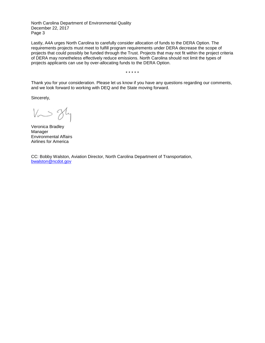North Carolina Department of Environmental Quality December 22, 2017 Page 3

Lastly, A4A urges North Carolina to carefully consider allocation of funds to the DERA Option. The requirements projects must meet to fulfill program requirements under DERA decrease the scope of projects that could possibly be funded through the Trust. Projects that may not fit within the project criteria of DERA may nonetheless effectively reduce emissions. North Carolina should not limit the types of projects applicants can use by over-allocating funds to the DERA Option.

\* \* \* \* \*

Thank you for your consideration. Please let us know if you have any questions regarding our comments, and we look forward to working with DEQ and the State moving forward.

Sincerely,

Vm 8hy

Veronica Bradley Manager Environmental Affairs Airlines for America

CC: Bobby Walston, Aviation Director, North Carolina Department of Transportation, [bwalston@ncdot.gov](mailto:bwalston@ncdot.gov)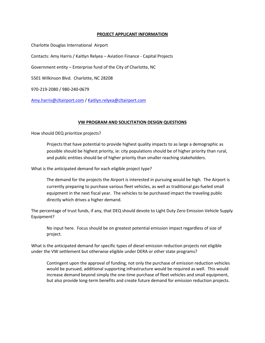#### **PROJECT APPLICANT INFORMATION**

Charlotte Douglas International Airport

Contacts: Amy Harris / Kaitlyn Relyea – Aviation Finance - Capital Projects

Government entity – Enterprise fund of the City of Charlotte, NC

5501 Wilkinson Blvd. Charlotte, NC 28208

970-219-2080 / 980-240-0679

[Amy.harris@cltairport.com](mailto:Amy.harris@cltairport.com) / [Kaitlyn.relyea@cltairport.com](mailto:Kaitlyn.relyea@cltairport.com)

#### **VW PROGRAM AND SOLICITATION DESIGN QUESTIONS**

How should DEQ prioritize projects?

Projects that have potential to provide highest quality impacts to as large a demographic as possible should be highest priority, ie: city populations should be of higher priority than rural, and public entities should be of higher priority than smaller reaching stakeholders.

What is the anticipated demand for each eligible project type?

The demand for the projects the Airport is interested in pursuing would be high. The Airport is currently preparing to purchase various fleet vehicles, as well as traditional gas-fueled small equipment in the next fiscal year. The vehicles to be purchased impact the traveling public directly which drives a higher demand.

The percentage of trust funds, if any, that DEQ should devote to Light Duty Zero Emission Vehicle Supply Equipment?

No input here. Focus should be on greatest potential emission impact regardless of size of project.

What is the anticipated demand for specific types of diesel emission reduction projects not eligible under the VW settlement but otherwise eligible under DERA or other state programs?

Contingent upon the approval of funding, not only the purchase of emission reduction vehicles would be pursued, additional supporting infrastructure would be required as well. This would increase demand beyond simply the one-time purchase of fleet vehicles and small equipment, but also provide long-term benefits and create future demand for emission reduction projects.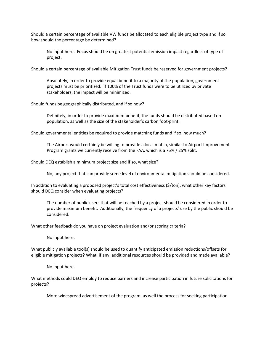Should a certain percentage of available VW funds be allocated to each eligible project type and if so how should the percentage be determined?

No input here. Focus should be on greatest potential emission impact regardless of type of project.

Should a certain percentage of available Mitigation Trust funds be reserved for government projects?

Absolutely, in order to provide equal benefit to a majority of the population, government projects must be prioritized. If 100% of the Trust funds were to be utilized by private stakeholders, the impact will be minimized.

Should funds be geographically distributed, and if so how?

Definitely, in order to provide maximum benefit, the funds should be distributed based on population, as well as the size of the stakeholder's carbon foot-print.

Should governmental entities be required to provide matching funds and if so, how much?

The Airport would certainly be willing to provide a local match, similar to Airport Improvement Program grants we currently receive from the FAA, which is a 75% / 25% split.

Should DEQ establish a minimum project size and if so, what size?

No, any project that can provide some level of environmental mitigation should be considered.

In addition to evaluating a proposed project's total cost effectiveness (\$/ton), what other key factors should DEQ consider when evaluating projects?

The number of public users that will be reached by a project should be considered in order to provide maximum benefit. Additionally, the frequency of a projects' use by the public should be considered.

What other feedback do you have on project evaluation and/or scoring criteria?

No input here.

What publicly available tool(s) should be used to quantify anticipated emission reductions/offsets for eligible mitigation projects? What, if any, additional resources should be provided and made available?

No input here.

What methods could DEQ employ to reduce barriers and increase participation in future solicitations for projects?

More widespread advertisement of the program, as well the process for seeking participation.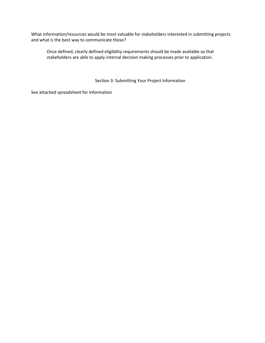What information/resources would be most valuable for stakeholders interested in submitting projects and what is the best way to communicate those?

Once defined, clearly defined eligibility requirements should be made available so that stakeholders are able to apply internal decision making processes prior to application.

Section 3: Submitting Your Project Information

See attached spreadsheet for information